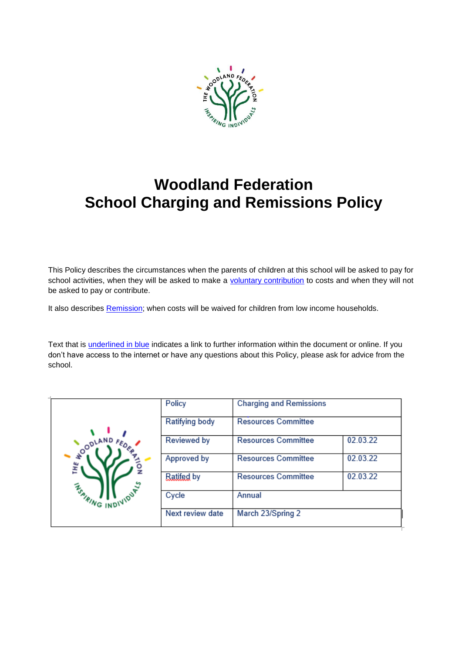

# **Woodland Federation School Charging and Remissions Policy**

This Policy describes the circumstances when the parents of children at this school will be asked to pay for school activities, when they will be asked to make a [voluntary contribution](#page-2-0) to costs and when they will not be asked to pay or contribute.

It also describes [Remission;](#page-4-0) when costs will be waived for children from low income households.

Text that is *underlined in blue* indicates a link to further information within the document or online. If you don't have access to the internet or have any questions about this Policy, please ask for advice from the school.

| <b>OODLAND</b><br>Ĕ١<br><b>WIDUA</b> S<br><b>ASPIRING IND.</b> | Policy           | <b>Charging and Remissions</b> |          |
|----------------------------------------------------------------|------------------|--------------------------------|----------|
|                                                                | Ratifying body   | <b>Resources Committee</b>     |          |
|                                                                | Reviewed by      | <b>Resources Committee</b>     | 02.03.22 |
|                                                                | Approved by      | <b>Resources Committee</b>     | 02.03.22 |
|                                                                | Ratifed by       | <b>Resources Committee</b>     | 02.03.22 |
|                                                                | Cycle            | Annual                         |          |
|                                                                | Next review date | March 23/Spring 2              |          |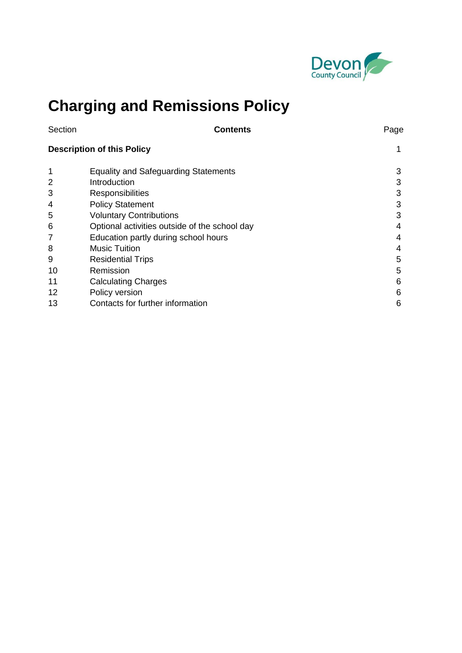

# **Charging and Remissions Policy**

| Section                           | <b>Contents</b>                               | Page |
|-----------------------------------|-----------------------------------------------|------|
| <b>Description of this Policy</b> | 1                                             |      |
| 1                                 | <b>Equality and Safeguarding Statements</b>   | 3    |
| 2                                 | Introduction                                  | 3    |
| 3                                 | <b>Responsibilities</b>                       | 3    |
| 4                                 | <b>Policy Statement</b>                       | 3    |
| 5                                 | <b>Voluntary Contributions</b>                | 3    |
| 6                                 | Optional activities outside of the school day | 4    |
| 7                                 | Education partly during school hours          | 4    |
| 8                                 | <b>Music Tuition</b>                          | 4    |
| 9                                 | <b>Residential Trips</b>                      | 5    |
| 10                                | Remission                                     | 5    |
| 11                                | <b>Calculating Charges</b>                    | 6    |
| 12                                | Policy version                                | 6    |
| 13                                | Contacts for further information              | 6    |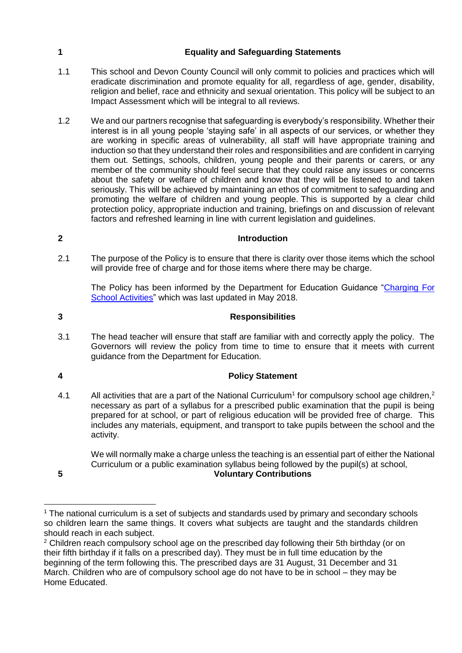### **1 Equality and Safeguarding Statements**

- 1.1 This school and Devon County Council will only commit to policies and practices which will eradicate discrimination and promote equality for all, regardless of age, gender, disability, religion and belief, race and ethnicity and sexual orientation. This policy will be subject to an Impact Assessment which will be integral to all reviews.
- 1.2 We and our partners recognise that safeguarding is everybody's responsibility. Whether their interest is in all young people 'staying safe' in all aspects of our services, or whether they are working in specific areas of vulnerability, all staff will have appropriate training and induction so that they understand their roles and responsibilities and are confident in carrying them out. Settings, schools, children, young people and their parents or carers, or any member of the community should feel secure that they could raise any issues or concerns about the safety or welfare of children and know that they will be listened to and taken seriously. This will be achieved by maintaining an ethos of commitment to safeguarding and promoting the welfare of children and young people. This is supported by a clear child protection policy, appropriate induction and training, briefings on and discussion of relevant factors and refreshed learning in line with current legislation and guidelines.

# **2 Introduction**

2.1 The purpose of the Policy is to ensure that there is clarity over those items which the school will provide free of charge and for those items where there may be charge.

The Policy has been informed by the Department for Education Guidance ["Charging For](https://www.gov.uk/government/publications/charging-for-school-activities)  [School Activities"](https://www.gov.uk/government/publications/charging-for-school-activities) which was last updated in May 2018.

## **3 Responsibilities**

3.1 The head teacher will ensure that staff are familiar with and correctly apply the policy. The Governors will review the policy from time to time to ensure that it meets with current guidance from the Department for Education.

### **4 Policy Statement**

4.1 All activities that are a part of the National Curriculum<sup>1</sup> for compulsory school age children,<sup>2</sup> necessary as part of a syllabus for a prescribed public examination that the pupil is being prepared for at school, or part of religious education will be provided free of charge. This includes any materials, equipment, and transport to take pupils between the school and the activity.

We will normally make a charge unless the teaching is an essential part of either the National Curriculum or a public examination syllabus being followed by the pupil(s) at school, **5 Voluntary Contributions**

<span id="page-2-0"></span>

 $\overline{a}$ 

 $1$  The national curriculum is a set of subjects and standards used by primary and secondary schools so children learn the same things. It covers what subjects are taught and the standards children should reach in each subject.

<sup>&</sup>lt;sup>2</sup> Children reach compulsory school age on the prescribed day following their 5th birthday (or on their fifth birthday if it falls on a prescribed day). They must be in full time education by the beginning of the term following this. The prescribed days are 31 August, 31 December and 31 March. Children who are of compulsory school age do not have to be in school – they may be Home Educated.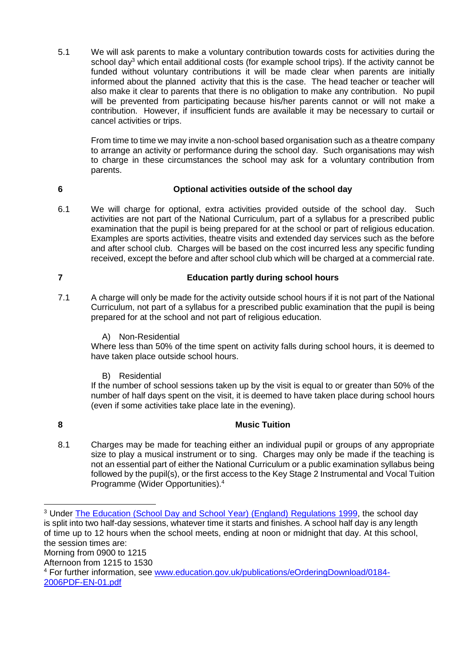5.1 We will ask parents to make a voluntary contribution towards costs for activities during the school day<sup>3</sup> which entail additional costs (for example school trips). If the activity cannot be funded without voluntary contributions it will be made clear when parents are initially informed about the planned activity that this is the case. The head teacher or teacher will also make it clear to parents that there is no obligation to make any contribution. No pupil will be prevented from participating because his/her parents cannot or will not make a contribution. However, if insufficient funds are available it may be necessary to curtail or cancel activities or trips.

From time to time we may invite a non-school based organisation such as a theatre company to arrange an activity or performance during the school day. Such organisations may wish to charge in these circumstances the school may ask for a voluntary contribution from parents.

#### **6 Optional activities outside of the school day**

6.1 We will charge for optional, extra activities provided outside of the school day. Such activities are not part of the National Curriculum, part of a syllabus for a prescribed public examination that the pupil is being prepared for at the school or part of religious education. Examples are sports activities, theatre visits and extended day services such as the before and after school club. Charges will be based on the cost incurred less any specific funding received, except the before and after school club which will be charged at a commercial rate.

#### **7 Education partly during school hours**

- 7.1 A charge will only be made for the activity outside school hours if it is not part of the National Curriculum, not part of a syllabus for a prescribed public examination that the pupil is being prepared for at the school and not part of religious education.
	- A) Non-Residential

Where less than 50% of the time spent on activity falls during school hours, it is deemed to have taken place outside school hours.

B) Residential

If the number of school sessions taken up by the visit is equal to or greater than 50% of the number of half days spent on the visit, it is deemed to have taken place during school hours (even if some activities take place late in the evening).

 $\overline{a}$ 

#### **8 Music Tuition**

8.1 Charges may be made for teaching either an individual pupil or groups of any appropriate size to play a musical instrument or to sing. Charges may only be made if the teaching is not an essential part of either the National Curriculum or a public examination syllabus being followed by the pupil(s), or the first access to the Key Stage 2 Instrumental and Vocal Tuition Programme (Wider Opportunities).<sup>4</sup>

<sup>&</sup>lt;sup>3</sup> Under [The Education \(School Day and School Year\) \(England\) Regulations 1999,](http://www.legislation.gov.uk/uksi/1999/3181/contents/made) the school day is split into two half-day sessions, whatever time it starts and finishes. A school half day is any length of time up to 12 hours when the school meets, ending at noon or midnight that day. At this school, the session times are: Morning from 0900 to 1215 Afternoon from 1215 to 1530 <sup>4</sup> For further information, see [www.education.gov.uk/publications/eOrderingDownload/0184-](http://www.education.gov.uk/publications/eOrderingDownload/0184-2006PDF-EN-01.pdf) [2006PDF-EN-01.pdf](http://www.education.gov.uk/publications/eOrderingDownload/0184-2006PDF-EN-01.pdf)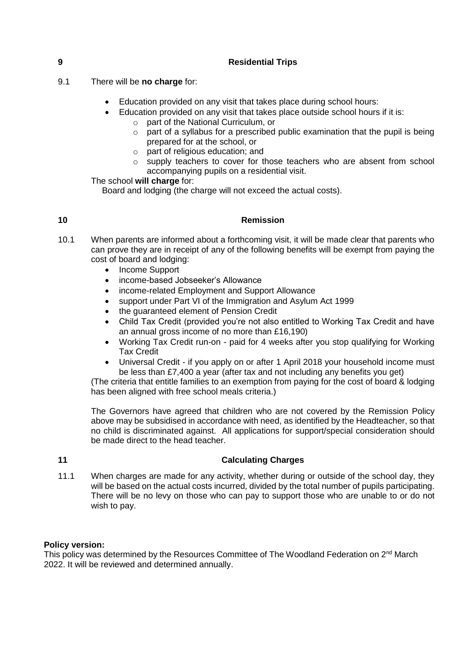#### **9 Residential Trips**

- 9.1 There will be **no charge** for:
	- Education provided on any visit that takes place during school hours:
	- Education provided on any visit that takes place outside school hours if it is:
		- o part of the National Curriculum, or
		- $\circ$  part of a syllabus for a prescribed public examination that the pupil is being prepared for at the school, or
		- o part of religious education; and
		- supply teachers to cover for those teachers who are absent from school accompanying pupils on a residential visit.

The school **will charge** for:

Board and lodging (the charge will not exceed the actual costs).

#### <span id="page-4-0"></span>**10 Remission**

- 10.1 When parents are informed about a forthcoming visit, it will be made clear that parents who can prove they are in receipt of any of the following benefits will be exempt from paying the cost of board and lodging:
	- Income Support
	- income-based Jobseeker's Allowance
	- income-related Employment and Support Allowance
	- support under Part VI of the Immigration and Asylum Act 1999
	- the guaranteed element of Pension Credit
	- Child Tax Credit (provided you're not also entitled to Working Tax Credit and have an annual gross income of no more than £16,190)
	- Working Tax Credit run-on paid for 4 weeks after you stop qualifying for Working Tax Credit
	- Universal Credit if you apply on or after 1 April 2018 your household income must be less than £7,400 a year (after tax and not including any benefits you get)

(The criteria that entitle families to an exemption from paying for the cost of board & lodging has been aligned with free school meals criteria.)

The Governors have agreed that children who are not covered by the Remission Policy above may be subsidised in accordance with need, as identified by the Headteacher, so that no child is discriminated against. All applications for support/special consideration should be made direct to the head teacher.

### **11 Calculating Charges**

11.1 When charges are made for any activity, whether during or outside of the school day, they will be based on the actual costs incurred, divided by the total number of pupils participating. There will be no levy on those who can pay to support those who are unable to or do not wish to pay.

#### **Policy version:**

This policy was determined by the Resources Committee of The Woodland Federation on  $2<sup>nd</sup>$  March 2022. It will be reviewed and determined annually.